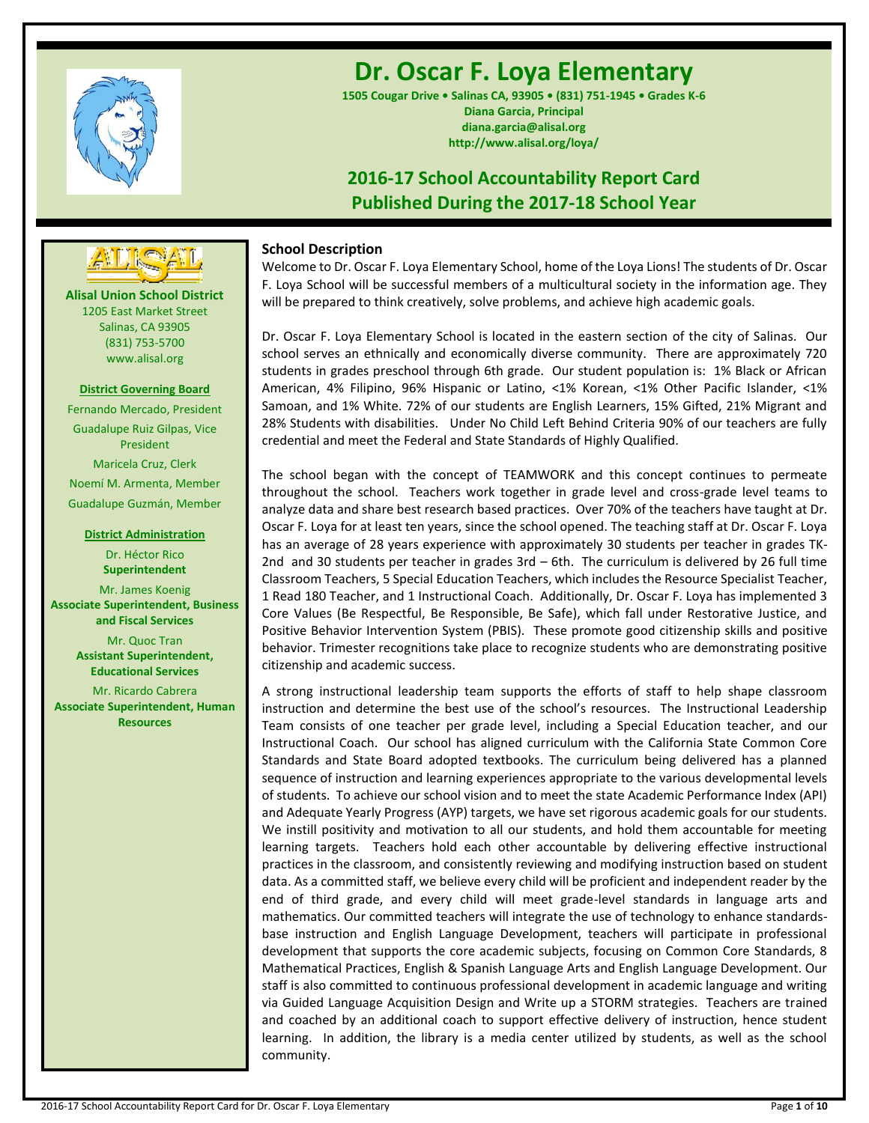

# **Dr. Oscar F. Loya Elementary**

**1505 Cougar Drive • Salinas CA, 93905 • (831) 751-1945 • Grades K-6 Diana Garcia, Principal diana.garcia@alisal.org http://www.alisal.org/loya/**

## **2016-17 School Accountability Report Card Published During the 2017-18 School Year**

### **School Description**

Welcome to Dr. Oscar F. Loya Elementary School, home of the Loya Lions! The students of Dr. Oscar F. Loya School will be successful members of a multicultural society in the information age. They will be prepared to think creatively, solve problems, and achieve high academic goals.

Dr. Oscar F. Loya Elementary School is located in the eastern section of the city of Salinas. Our school serves an ethnically and economically diverse community. There are approximately 720 students in grades preschool through 6th grade. Our student population is: 1% Black or African American, 4% Filipino, 96% Hispanic or Latino, <1% Korean, <1% Other Pacific Islander, <1% Samoan, and 1% White. 72% of our students are English Learners, 15% Gifted, 21% Migrant and 28% Students with disabilities. Under No Child Left Behind Criteria 90% of our teachers are fully credential and meet the Federal and State Standards of Highly Qualified.

The school began with the concept of TEAMWORK and this concept continues to permeate throughout the school. Teachers work together in grade level and cross-grade level teams to analyze data and share best research based practices. Over 70% of the teachers have taught at Dr. Oscar F. Loya for at least ten years, since the school opened. The teaching staff at Dr. Oscar F. Loya has an average of 28 years experience with approximately 30 students per teacher in grades TK-2nd and 30 students per teacher in grades 3rd – 6th. The curriculum is delivered by 26 full time Classroom Teachers, 5 Special Education Teachers, which includes the Resource Specialist Teacher, 1 Read 180 Teacher, and 1 Instructional Coach. Additionally, Dr. Oscar F. Loya has implemented 3 Core Values (Be Respectful, Be Responsible, Be Safe), which fall under Restorative Justice, and Positive Behavior Intervention System (PBIS). These promote good citizenship skills and positive behavior. Trimester recognitions take place to recognize students who are demonstrating positive citizenship and academic success.

A strong instructional leadership team supports the efforts of staff to help shape classroom instruction and determine the best use of the school's resources. The Instructional Leadership Team consists of one teacher per grade level, including a Special Education teacher, and our Instructional Coach. Our school has aligned curriculum with the California State Common Core Standards and State Board adopted textbooks. The curriculum being delivered has a planned sequence of instruction and learning experiences appropriate to the various developmental levels of students. To achieve our school vision and to meet the state Academic Performance Index (API) and Adequate Yearly Progress (AYP) targets, we have set rigorous academic goals for our students. We instill positivity and motivation to all our students, and hold them accountable for meeting learning targets. Teachers hold each other accountable by delivering effective instructional practices in the classroom, and consistently reviewing and modifying instruction based on student data. As a committed staff, we believe every child will be proficient and independent reader by the end of third grade, and every child will meet grade-level standards in language arts and mathematics. Our committed teachers will integrate the use of technology to enhance standardsbase instruction and English Language Development, teachers will participate in professional development that supports the core academic subjects, focusing on Common Core Standards, 8 Mathematical Practices, English & Spanish Language Arts and English Language Development. Our staff is also committed to continuous professional development in academic language and writing via Guided Language Acquisition Design and Write up a STORM strategies. Teachers are trained and coached by an additional coach to support effective delivery of instruction, hence student learning. In addition, the library is a media center utilized by students, as well as the school community.



**Alisal Union School District** 1205 East Market Street Salinas, CA 93905 (831) 753-5700 www.alisal.org

### **District Governing Board**

Fernando Mercado, President Guadalupe Ruiz Gilpas, Vice President Maricela Cruz, Clerk Noemí M. Armenta, Member Guadalupe Guzmán, Member

### **District Administration**

Dr. Héctor Rico **Superintendent** Mr. James Koenig **Associate Superintendent, Business and Fiscal Services** Mr. Quoc Tran **Assistant Superintendent, Educational Services**

Mr. Ricardo Cabrera **Associate Superintendent, Human Resources**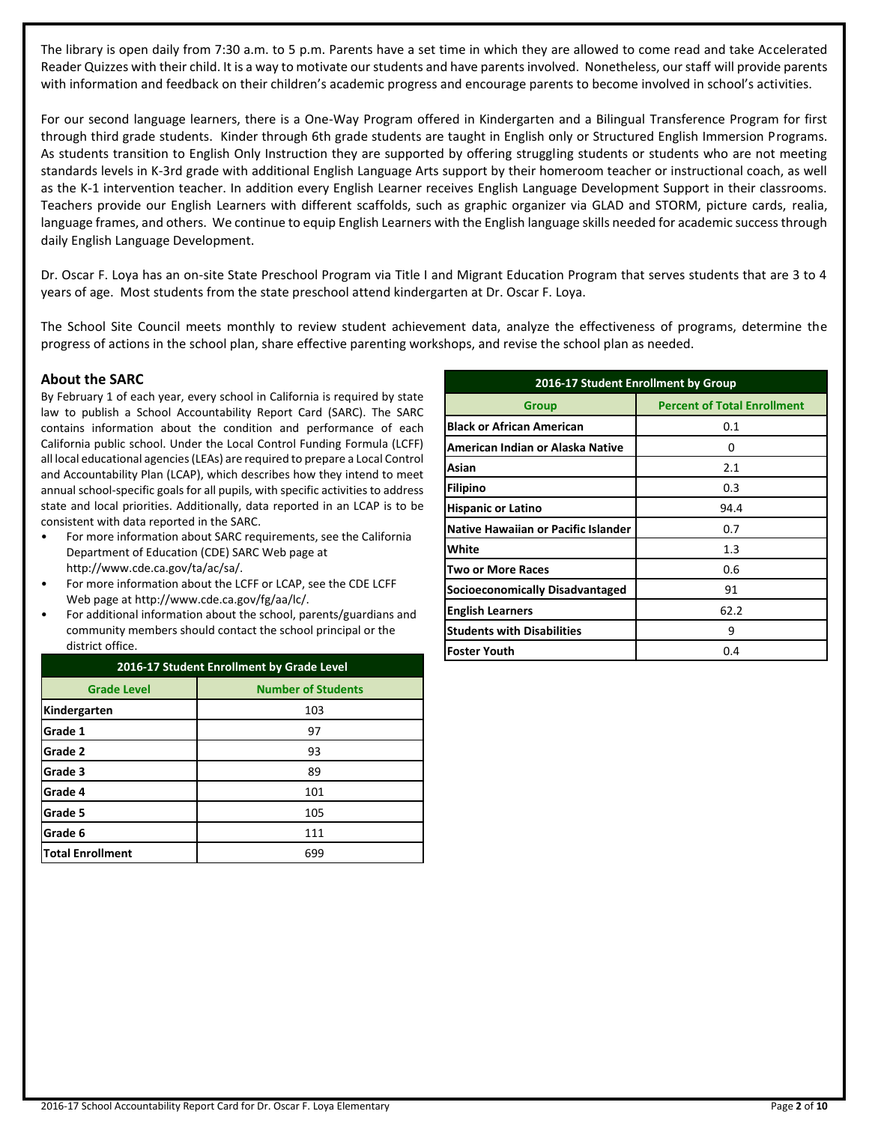The library is open daily from 7:30 a.m. to 5 p.m. Parents have a set time in which they are allowed to come read and take Accelerated Reader Quizzes with their child. It is a way to motivate our students and have parents involved. Nonetheless, our staff will provide parents with information and feedback on their children's academic progress and encourage parents to become involved in school's activities.

For our second language learners, there is a One-Way Program offered in Kindergarten and a Bilingual Transference Program for first through third grade students. Kinder through 6th grade students are taught in English only or Structured English Immersion Programs. As students transition to English Only Instruction they are supported by offering struggling students or students who are not meeting standards levels in K-3rd grade with additional English Language Arts support by their homeroom teacher or instructional coach, as well as the K-1 intervention teacher. In addition every English Learner receives English Language Development Support in their classrooms. Teachers provide our English Learners with different scaffolds, such as graphic organizer via GLAD and STORM, picture cards, realia, language frames, and others. We continue to equip English Learners with the English language skills needed for academic success through daily English Language Development.

Dr. Oscar F. Loya has an on-site State Preschool Program via Title I and Migrant Education Program that serves students that are 3 to 4 years of age. Most students from the state preschool attend kindergarten at Dr. Oscar F. Loya.

The School Site Council meets monthly to review student achievement data, analyze the effectiveness of programs, determine the progress of actions in the school plan, share effective parenting workshops, and revise the school plan as needed.

### **About the SARC**

By February 1 of each year, every school in California is required by state law to publish a School Accountability Report Card (SARC). The SARC contains information about the condition and performance of each California public school. Under the Local Control Funding Formula (LCFF) all local educational agencies (LEAs) are required to prepare a Local Control and Accountability Plan (LCAP), which describes how they intend to meet annual school-specific goals for all pupils, with specific activities to address state and local priorities. Additionally, data reported in an LCAP is to be consistent with data reported in the SARC.

- For more information about SARC requirements, see the California Department of Education (CDE) SARC Web page at http://www.cde.ca.gov/ta/ac/sa/.
- For more information about the LCFF or LCAP, see the CDE LCFF Web page at http://www.cde.ca.gov/fg/aa/lc/.
- For additional information about the school, parents/guardians and community members should contact the school principal or the district office.

| 2016-17 Student Enrollment by Grade Level |                           |  |  |  |  |
|-------------------------------------------|---------------------------|--|--|--|--|
| <b>Grade Level</b>                        | <b>Number of Students</b> |  |  |  |  |
| Kindergarten                              | 103                       |  |  |  |  |
| Grade 1                                   | 97                        |  |  |  |  |
| Grade 2                                   | 93                        |  |  |  |  |
| Grade 3                                   | 89                        |  |  |  |  |
| Grade 4                                   | 101                       |  |  |  |  |
| Grade 5                                   | 105                       |  |  |  |  |
| Grade 6                                   | 111                       |  |  |  |  |
| <b>Total Enrollment</b>                   | 699                       |  |  |  |  |

| 2016-17 Student Enrollment by Group        |                                    |  |  |  |  |
|--------------------------------------------|------------------------------------|--|--|--|--|
| Group                                      | <b>Percent of Total Enrollment</b> |  |  |  |  |
| <b>Black or African American</b>           | 0.1                                |  |  |  |  |
| American Indian or Alaska Native           | 0                                  |  |  |  |  |
| Asian                                      | 2.1                                |  |  |  |  |
| <b>Filipino</b>                            | 0.3                                |  |  |  |  |
| <b>Hispanic or Latino</b>                  | 94.4                               |  |  |  |  |
| <b>Native Hawaiian or Pacific Islander</b> | 0.7                                |  |  |  |  |
| White                                      | 1.3                                |  |  |  |  |
| <b>Two or More Races</b>                   | 0.6                                |  |  |  |  |
| Socioeconomically Disadvantaged            | 91                                 |  |  |  |  |
| <b>English Learners</b>                    | 62.2                               |  |  |  |  |
| <b>Students with Disabilities</b>          | 9                                  |  |  |  |  |
| <b>Foster Youth</b>                        | 0.4                                |  |  |  |  |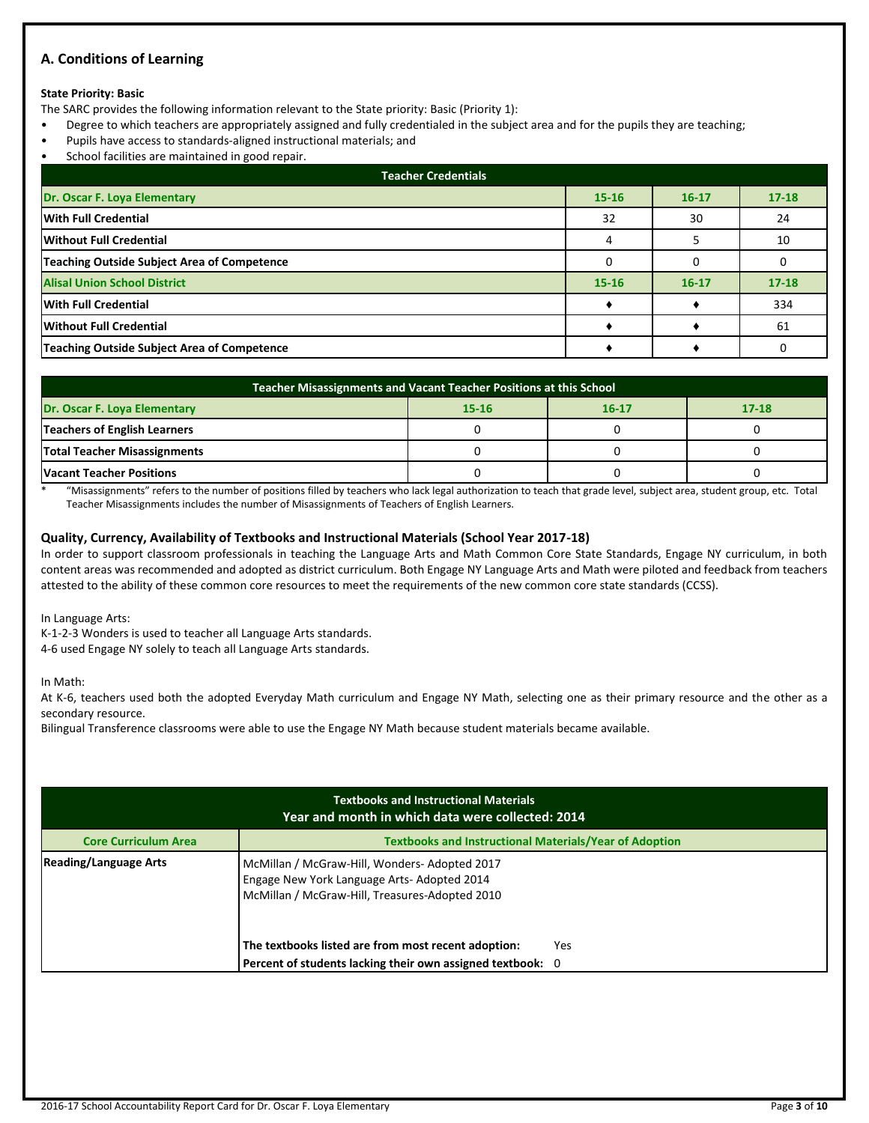### **A. Conditions of Learning**

### **State Priority: Basic**

The SARC provides the following information relevant to the State priority: Basic (Priority 1):

- Degree to which teachers are appropriately assigned and fully credentialed in the subject area and for the pupils they are teaching;
- Pupils have access to standards-aligned instructional materials; and
- School facilities are maintained in good repair.

| <b>Teacher Credentials</b>                         |           |           |           |  |  |  |  |
|----------------------------------------------------|-----------|-----------|-----------|--|--|--|--|
| Dr. Oscar F. Loya Elementary                       | $15 - 16$ | $16 - 17$ | $17 - 18$ |  |  |  |  |
| <b>With Full Credential</b>                        | 32        | 30        | 24        |  |  |  |  |
| Without Full Credential                            |           |           | 10        |  |  |  |  |
| <b>Teaching Outside Subject Area of Competence</b> |           |           |           |  |  |  |  |
| <b>Alisal Union School District</b>                | $15 - 16$ | $16 - 17$ | $17 - 18$ |  |  |  |  |
| <b>With Full Credential</b>                        |           |           | 334       |  |  |  |  |
| <b>Without Full Credential</b>                     |           |           | 61        |  |  |  |  |
| Teaching Outside Subject Area of Competence        |           |           |           |  |  |  |  |

| Teacher Misassignments and Vacant Teacher Positions at this School  |  |  |  |  |  |  |  |
|---------------------------------------------------------------------|--|--|--|--|--|--|--|
| Dr. Oscar F. Loya Elementary<br>$17 - 18$<br>$16 - 17$<br>$15 - 16$ |  |  |  |  |  |  |  |
| Teachers of English Learners                                        |  |  |  |  |  |  |  |
| <b>Total Teacher Misassignments</b>                                 |  |  |  |  |  |  |  |
| <b>Vacant Teacher Positions</b>                                     |  |  |  |  |  |  |  |

\* "Misassignments" refers to the number of positions filled by teachers who lack legal authorization to teach that grade level, subject area, student group, etc. Total Teacher Misassignments includes the number of Misassignments of Teachers of English Learners.

### **Quality, Currency, Availability of Textbooks and Instructional Materials (School Year 2017-18)**

In order to support classroom professionals in teaching the Language Arts and Math Common Core State Standards, Engage NY curriculum, in both content areas was recommended and adopted as district curriculum. Both Engage NY Language Arts and Math were piloted and feedback from teachers attested to the ability of these common core resources to meet the requirements of the new common core state standards (CCSS).

In Language Arts:

K-1-2-3 Wonders is used to teacher all Language Arts standards. 4-6 used Engage NY solely to teach all Language Arts standards.

In Math:

At K-6, teachers used both the adopted Everyday Math curriculum and Engage NY Math, selecting one as their primary resource and the other as a secondary resource.

Bilingual Transference classrooms were able to use the Engage NY Math because student materials became available.

| <b>Textbooks and Instructional Materials</b><br>Year and month in which data were collected: 2014                                                                              |                                                               |  |  |  |  |  |  |
|--------------------------------------------------------------------------------------------------------------------------------------------------------------------------------|---------------------------------------------------------------|--|--|--|--|--|--|
| <b>Core Curriculum Area</b>                                                                                                                                                    | <b>Textbooks and Instructional Materials/Year of Adoption</b> |  |  |  |  |  |  |
| <b>Reading/Language Arts</b><br>McMillan / McGraw-Hill, Wonders- Adopted 2017<br>Engage New York Language Arts- Adopted 2014<br>McMillan / McGraw-Hill, Treasures-Adopted 2010 |                                                               |  |  |  |  |  |  |
|                                                                                                                                                                                | The textbooks listed are from most recent adoption:<br>Yes    |  |  |  |  |  |  |
|                                                                                                                                                                                | Percent of students lacking their own assigned textbook: 0    |  |  |  |  |  |  |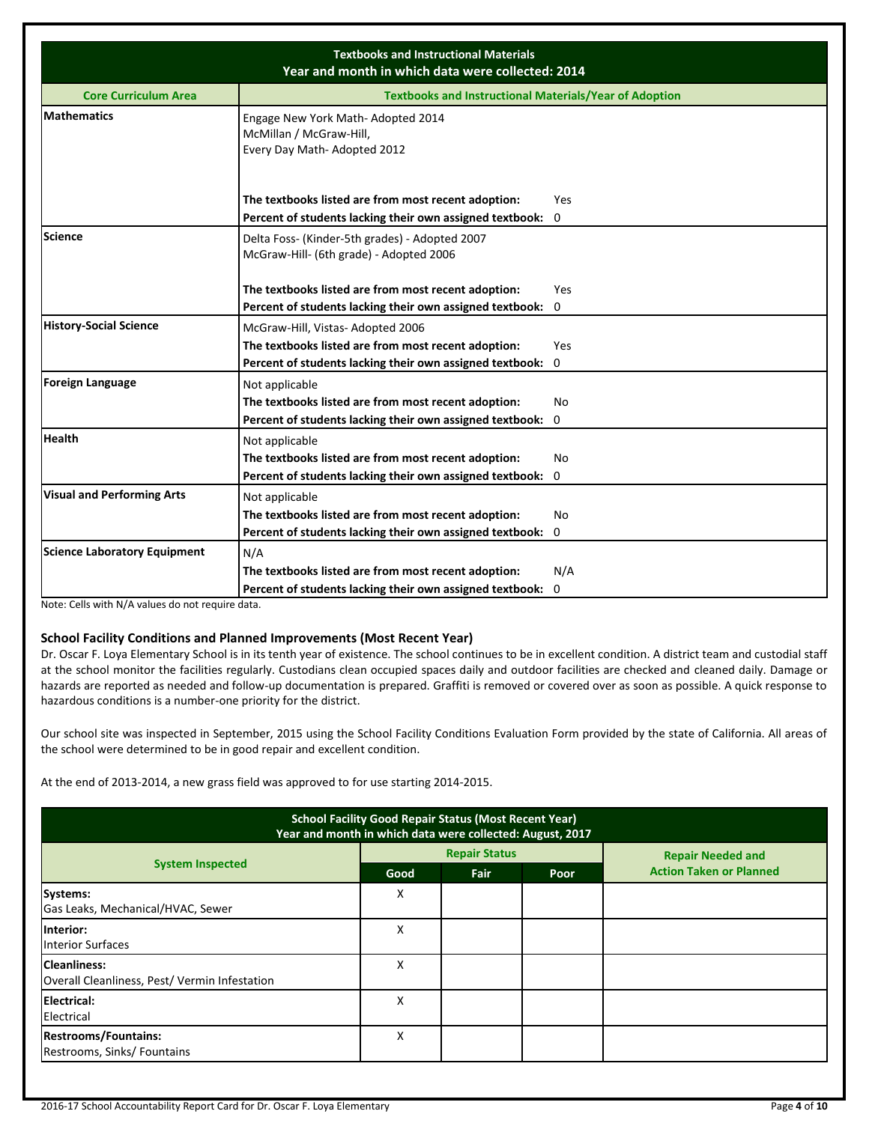| <b>Textbooks and Instructional Materials</b><br>Year and month in which data were collected: 2014 |                                                                                             |     |  |  |  |  |
|---------------------------------------------------------------------------------------------------|---------------------------------------------------------------------------------------------|-----|--|--|--|--|
| <b>Core Curriculum Area</b>                                                                       | <b>Textbooks and Instructional Materials/Year of Adoption</b>                               |     |  |  |  |  |
| <b>Mathematics</b>                                                                                | Engage New York Math-Adopted 2014<br>McMillan / McGraw-Hill,<br>Every Day Math-Adopted 2012 |     |  |  |  |  |
|                                                                                                   | The textbooks listed are from most recent adoption:                                         | Yes |  |  |  |  |
|                                                                                                   | Percent of students lacking their own assigned textbook: 0                                  |     |  |  |  |  |
| <b>Science</b>                                                                                    | Delta Foss- (Kinder-5th grades) - Adopted 2007<br>McGraw-Hill- (6th grade) - Adopted 2006   |     |  |  |  |  |
|                                                                                                   | The textbooks listed are from most recent adoption:                                         | Yes |  |  |  |  |
|                                                                                                   | Percent of students lacking their own assigned textbook: 0                                  |     |  |  |  |  |
| <b>History-Social Science</b>                                                                     | McGraw-Hill, Vistas-Adopted 2006                                                            |     |  |  |  |  |
|                                                                                                   | The textbooks listed are from most recent adoption:                                         | Yes |  |  |  |  |
|                                                                                                   | Percent of students lacking their own assigned textbook: 0                                  |     |  |  |  |  |
| <b>Foreign Language</b>                                                                           | Not applicable                                                                              |     |  |  |  |  |
|                                                                                                   | The textbooks listed are from most recent adoption:                                         | No  |  |  |  |  |
|                                                                                                   | Percent of students lacking their own assigned textbook: 0                                  |     |  |  |  |  |
| <b>Health</b>                                                                                     | Not applicable                                                                              |     |  |  |  |  |
|                                                                                                   | The textbooks listed are from most recent adoption:                                         | No  |  |  |  |  |
|                                                                                                   | Percent of students lacking their own assigned textbook:                                    | 0   |  |  |  |  |
| <b>Visual and Performing Arts</b>                                                                 | Not applicable                                                                              |     |  |  |  |  |
|                                                                                                   | The textbooks listed are from most recent adoption:                                         | No  |  |  |  |  |
|                                                                                                   | Percent of students lacking their own assigned textbook: 0                                  |     |  |  |  |  |
| <b>Science Laboratory Equipment</b>                                                               | N/A                                                                                         |     |  |  |  |  |
|                                                                                                   | The textbooks listed are from most recent adoption:                                         | N/A |  |  |  |  |
|                                                                                                   | Percent of students lacking their own assigned textbook: 0                                  |     |  |  |  |  |

Note: Cells with N/A values do not require data.

### **School Facility Conditions and Planned Improvements (Most Recent Year)**

Dr. Oscar F. Loya Elementary School is in its tenth year of existence. The school continues to be in excellent condition. A district team and custodial staff at the school monitor the facilities regularly. Custodians clean occupied spaces daily and outdoor facilities are checked and cleaned daily. Damage or hazards are reported as needed and follow-up documentation is prepared. Graffiti is removed or covered over as soon as possible. A quick response to hazardous conditions is a number-one priority for the district.

Our school site was inspected in September, 2015 using the School Facility Conditions Evaluation Form provided by the state of California. All areas of the school were determined to be in good repair and excellent condition.

At the end of 2013-2014, a new grass field was approved to for use starting 2014-2015.

| <b>School Facility Good Repair Status (Most Recent Year)</b><br>Year and month in which data were collected: August, 2017 |      |                      |      |                                |  |  |
|---------------------------------------------------------------------------------------------------------------------------|------|----------------------|------|--------------------------------|--|--|
|                                                                                                                           |      | <b>Repair Status</b> |      | <b>Repair Needed and</b>       |  |  |
| <b>System Inspected</b>                                                                                                   | Good | <b>Fair</b>          | Poor | <b>Action Taken or Planned</b> |  |  |
| Systems:<br>Gas Leaks, Mechanical/HVAC, Sewer                                                                             | Χ    |                      |      |                                |  |  |
| linterior:<br><b>Interior Surfaces</b>                                                                                    | x    |                      |      |                                |  |  |
| <b>Cleanliness:</b><br>Overall Cleanliness, Pest/Vermin Infestation                                                       | x    |                      |      |                                |  |  |
| Electrical:<br>Electrical                                                                                                 | X    |                      |      |                                |  |  |
| <b>Restrooms/Fountains:</b><br>Restrooms, Sinks/ Fountains                                                                | х    |                      |      |                                |  |  |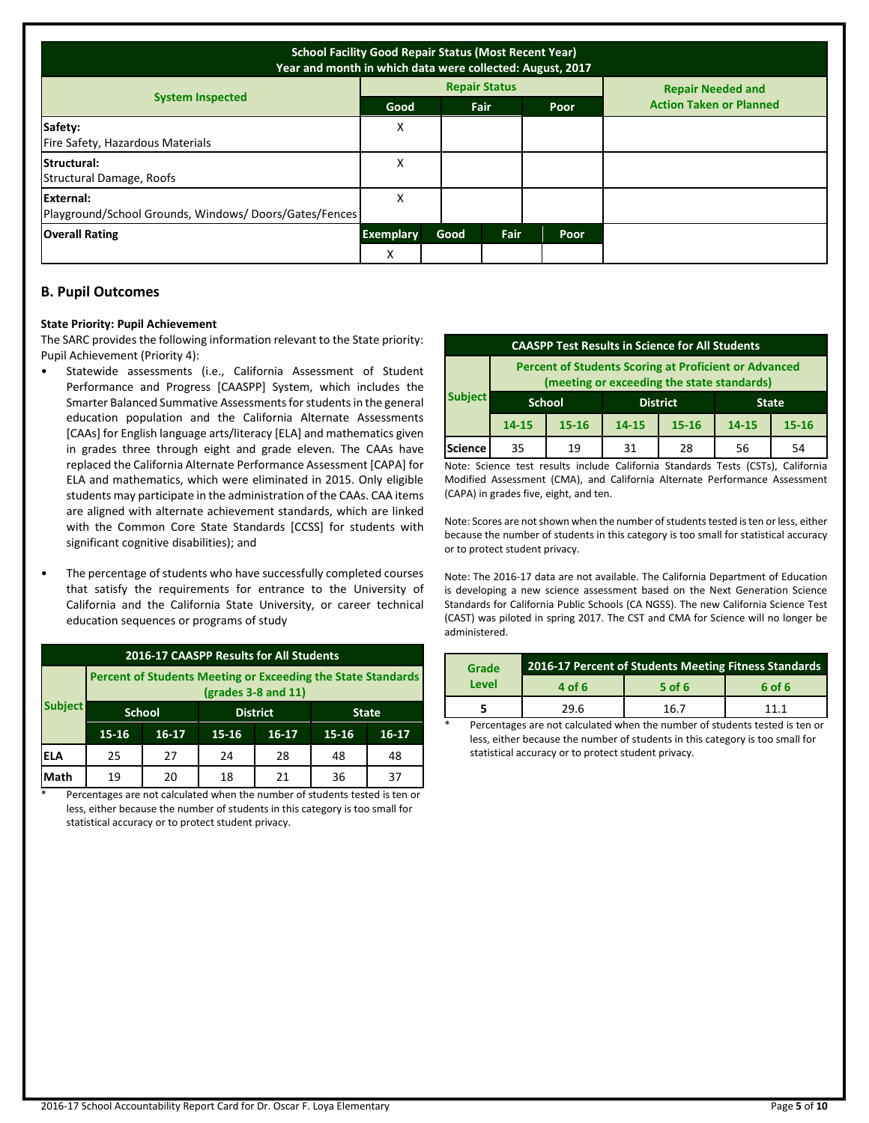| <b>School Facility Good Repair Status (Most Recent Year)</b><br>Year and month in which data were collected: August, 2017 |                  |      |                      |      |                                |  |
|---------------------------------------------------------------------------------------------------------------------------|------------------|------|----------------------|------|--------------------------------|--|
|                                                                                                                           |                  |      | <b>Repair Status</b> |      | <b>Repair Needed and</b>       |  |
| <b>System Inspected</b>                                                                                                   | Good             |      | <b>Fair</b>          | Poor | <b>Action Taken or Planned</b> |  |
| Safety:<br>Fire Safety, Hazardous Materials                                                                               | Χ                |      |                      |      |                                |  |
| Structural:<br>Structural Damage, Roofs                                                                                   | x                |      |                      |      |                                |  |
| External:<br>Playground/School Grounds, Windows/Doors/Gates/Fences                                                        | х                |      |                      |      |                                |  |
| <b>Overall Rating</b>                                                                                                     | <b>Exemplary</b> | Good | Fair                 | Poor |                                |  |
|                                                                                                                           | X                |      |                      |      |                                |  |

### **B. Pupil Outcomes**

#### **State Priority: Pupil Achievement**

The SARC provides the following information relevant to the State priority: Pupil Achievement (Priority 4):

- Statewide assessments (i.e., California Assessment of Student Performance and Progress [CAASPP] System, which includes the Smarter Balanced Summative Assessments for students in the general education population and the California Alternate Assessments [CAAs] for English language arts/literacy [ELA] and mathematics given in grades three through eight and grade eleven. The CAAs have replaced the California Alternate Performance Assessment [CAPA] for ELA and mathematics, which were eliminated in 2015. Only eligible students may participate in the administration of the CAAs. CAA items are aligned with alternate achievement standards, which are linked with the Common Core State Standards [CCSS] for students with significant cognitive disabilities); and
- The percentage of students who have successfully completed courses that satisfy the requirements for entrance to the University of California and the California State University, or career technical education sequences or programs of study

| 2016-17 CAASPP Results for All Students |                                                                                         |         |           |                 |           |              |  |  |
|-----------------------------------------|-----------------------------------------------------------------------------------------|---------|-----------|-----------------|-----------|--------------|--|--|
|                                         | Percent of Students Meeting or Exceeding the State Standards<br>$2$ (grades 3-8 and 11) |         |           |                 |           |              |  |  |
| <b>Subject</b>                          | <b>School</b>                                                                           |         |           | <b>District</b> |           | <b>State</b> |  |  |
|                                         | 15-16                                                                                   | $16-17$ | $15 - 16$ | $16 - 17$       | $15 - 16$ | $16-17$      |  |  |
| IELA                                    | 25                                                                                      | 27      | 24        | 28              | 48        | 48           |  |  |
| Math                                    | 19                                                                                      | 20      | 18        | 21              | 36        | 37           |  |  |

Percentages are not calculated when the number of students tested is ten or less, either because the number of students in this category is too small for statistical accuracy or to protect student privacy.

| <b>CAASPP Test Results in Science for All Students</b>                                                     |               |           |                                 |           |       |           |  |
|------------------------------------------------------------------------------------------------------------|---------------|-----------|---------------------------------|-----------|-------|-----------|--|
| <b>Percent of Students Scoring at Proficient or Advanced</b><br>(meeting or exceeding the state standards) |               |           |                                 |           |       |           |  |
| <b>Subject</b>                                                                                             | <b>School</b> |           | <b>District</b><br><b>State</b> |           |       |           |  |
|                                                                                                            | 14-15         | $15 - 16$ | 14-15                           | $15 - 16$ | 14-15 | $15 - 16$ |  |
| <b>Science</b>                                                                                             | 35            | 19        | 31                              | 28        | 56    | 54        |  |

Note: Science test results include California Standards Tests (CSTs), California Modified Assessment (CMA), and California Alternate Performance Assessment (CAPA) in grades five, eight, and ten.

Note: Scores are not shown when the number of students tested is ten or less, either because the number of students in this category is too small for statistical accuracy or to protect student privacy.

Note: The 2016-17 data are not available. The California Department of Education is developing a new science assessment based on the Next Generation Science Standards for California Public Schools (CA NGSS). The new California Science Test (CAST) was piloted in spring 2017. The CST and CMA for Science will no longer be administered.

| Grade | 2016-17 Percent of Students Meeting Fitness Standards |          |        |  |  |
|-------|-------------------------------------------------------|----------|--------|--|--|
| Level | 4 of 6                                                | $5$ of 6 | 6 of 6 |  |  |
|       | 29.6                                                  | 16.7     | 11 1   |  |  |

Percentages are not calculated when the number of students tested is ten or less, either because the number of students in this category is too small for statistical accuracy or to protect student privacy.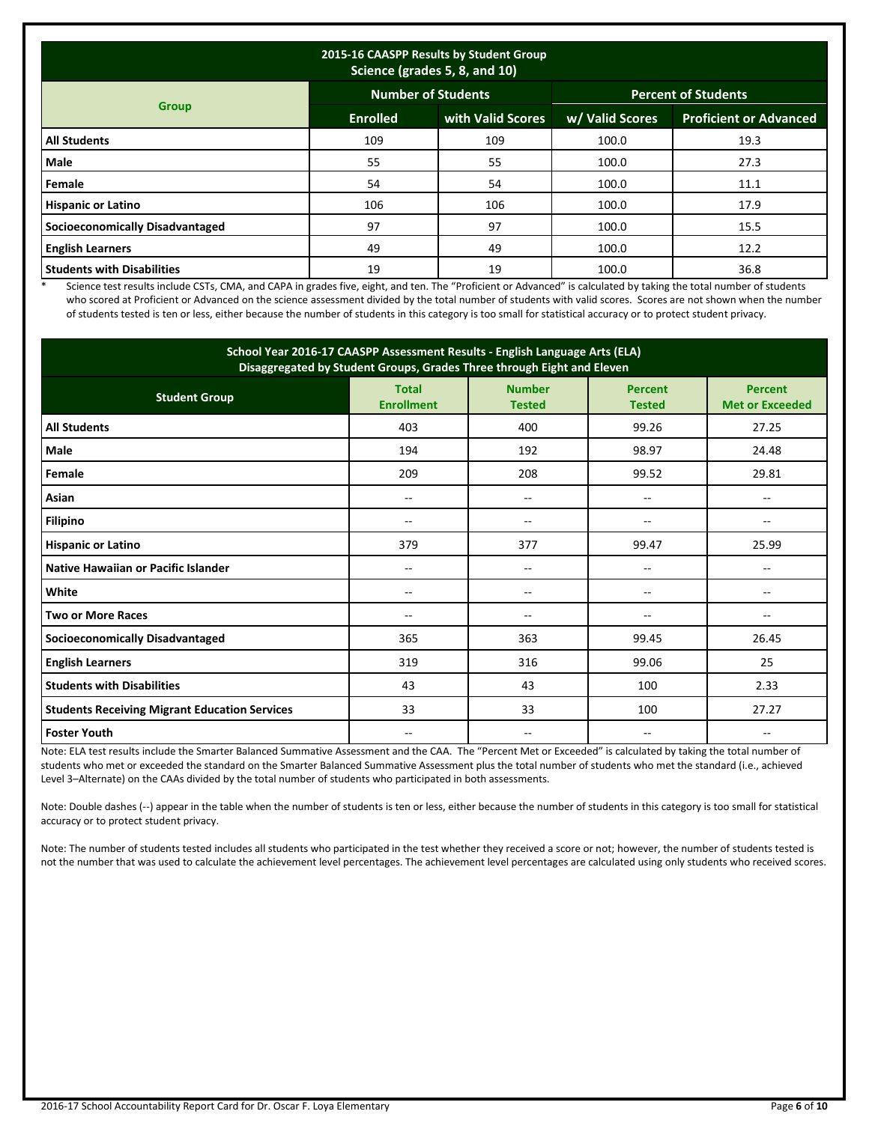| 2015-16 CAASPP Results by Student Group<br>Science (grades 5, 8, and 10) |                           |                   |                            |                               |  |  |  |
|--------------------------------------------------------------------------|---------------------------|-------------------|----------------------------|-------------------------------|--|--|--|
|                                                                          | <b>Number of Students</b> |                   | <b>Percent of Students</b> |                               |  |  |  |
| <b>Group</b>                                                             | <b>Enrolled</b>           | with Valid Scores | w/ Valid Scores            | <b>Proficient or Advanced</b> |  |  |  |
| <b>All Students</b>                                                      | 109                       | 109               | 100.0                      | 19.3                          |  |  |  |
| Male                                                                     | 55                        | 55                | 100.0                      | 27.3                          |  |  |  |
| Female                                                                   | 54                        | 54                | 100.0                      | 11.1                          |  |  |  |
| <b>Hispanic or Latino</b>                                                | 106                       | 106               | 100.0                      | 17.9                          |  |  |  |
| <b>Socioeconomically Disadvantaged</b>                                   | 97                        | 97                | 100.0                      | 15.5                          |  |  |  |
| <b>English Learners</b>                                                  | 49                        | 49                | 100.0                      | 12.2                          |  |  |  |
| <b>Students with Disabilities</b>                                        | 19                        | 19                | 100.0                      | 36.8                          |  |  |  |

\* Science test results include CSTs, CMA, and CAPA in grades five, eight, and ten. The "Proficient or Advanced" is calculated by taking the total number of students who scored at Proficient or Advanced on the science assessment divided by the total number of students with valid scores. Scores are not shown when the number of students tested is ten or less, either because the number of students in this category is too small for statistical accuracy or to protect student privacy.

| School Year 2016-17 CAASPP Assessment Results - English Language Arts (ELA)<br>Disaggregated by Student Groups, Grades Three through Eight and Eleven |                                                                     |     |                                 |                                          |  |  |
|-------------------------------------------------------------------------------------------------------------------------------------------------------|---------------------------------------------------------------------|-----|---------------------------------|------------------------------------------|--|--|
| <b>Student Group</b>                                                                                                                                  | <b>Number</b><br><b>Total</b><br><b>Enrollment</b><br><b>Tested</b> |     | <b>Percent</b><br><b>Tested</b> | <b>Percent</b><br><b>Met or Exceeded</b> |  |  |
| <b>All Students</b>                                                                                                                                   | 403                                                                 | 400 | 99.26                           | 27.25                                    |  |  |
| Male                                                                                                                                                  | 194                                                                 | 192 | 98.97                           | 24.48                                    |  |  |
| Female                                                                                                                                                | 209                                                                 | 208 | 99.52                           | 29.81                                    |  |  |
| Asian                                                                                                                                                 | --                                                                  | $-$ | --                              |                                          |  |  |
| Filipino                                                                                                                                              | $\overline{\phantom{a}}$<br>$-$                                     |     | --                              | --                                       |  |  |
| <b>Hispanic or Latino</b>                                                                                                                             | 379                                                                 | 377 | 99.47                           | 25.99                                    |  |  |
| Native Hawaiian or Pacific Islander                                                                                                                   | --                                                                  | --  | --                              |                                          |  |  |
| White                                                                                                                                                 | --                                                                  | $-$ | --                              |                                          |  |  |
| <b>Two or More Races</b>                                                                                                                              |                                                                     |     | --                              |                                          |  |  |
| <b>Socioeconomically Disadvantaged</b>                                                                                                                | 365                                                                 | 363 | 99.45                           | 26.45                                    |  |  |
| <b>English Learners</b>                                                                                                                               | 319                                                                 | 316 | 99.06                           | 25                                       |  |  |
| <b>Students with Disabilities</b>                                                                                                                     | 43                                                                  | 43  | 100                             | 2.33                                     |  |  |
| <b>Students Receiving Migrant Education Services</b>                                                                                                  | 33                                                                  | 33  | 100                             | 27.27                                    |  |  |
| <b>Foster Youth</b>                                                                                                                                   | --                                                                  | --  | --                              | --                                       |  |  |

Note: ELA test results include the Smarter Balanced Summative Assessment and the CAA. The "Percent Met or Exceeded" is calculated by taking the total number of students who met or exceeded the standard on the Smarter Balanced Summative Assessment plus the total number of students who met the standard (i.e., achieved Level 3–Alternate) on the CAAs divided by the total number of students who participated in both assessments.

Note: Double dashes (--) appear in the table when the number of students is ten or less, either because the number of students in this category is too small for statistical accuracy or to protect student privacy.

Note: The number of students tested includes all students who participated in the test whether they received a score or not; however, the number of students tested is not the number that was used to calculate the achievement level percentages. The achievement level percentages are calculated using only students who received scores.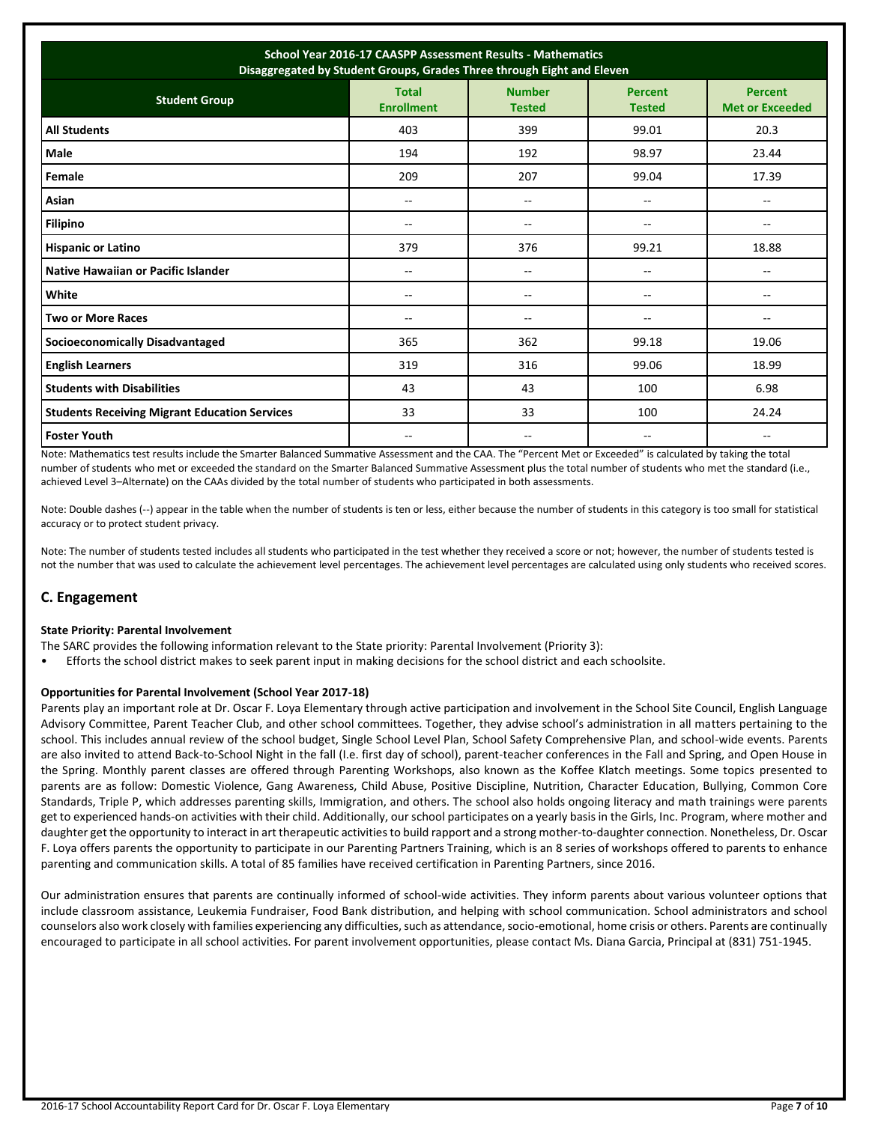| School Year 2016-17 CAASPP Assessment Results - Mathematics<br>Disaggregated by Student Groups, Grades Three through Eight and Eleven |                                   |                                |                                 |                                          |  |  |
|---------------------------------------------------------------------------------------------------------------------------------------|-----------------------------------|--------------------------------|---------------------------------|------------------------------------------|--|--|
| <b>Student Group</b>                                                                                                                  | <b>Total</b><br><b>Enrollment</b> | <b>Number</b><br><b>Tested</b> | <b>Percent</b><br><b>Tested</b> | <b>Percent</b><br><b>Met or Exceeded</b> |  |  |
| <b>All Students</b>                                                                                                                   | 403                               | 399                            | 99.01                           | 20.3                                     |  |  |
| <b>Male</b>                                                                                                                           | 194                               | 192                            | 98.97                           | 23.44                                    |  |  |
| Female                                                                                                                                | 209                               | 207                            | 99.04                           | 17.39                                    |  |  |
| Asian                                                                                                                                 | --                                | --                             | --                              | $\overline{\phantom{a}}$                 |  |  |
| <b>Filipino</b>                                                                                                                       | $- -$                             | $\overline{\phantom{a}}$       | --                              | $\overline{\phantom{a}}$                 |  |  |
| <b>Hispanic or Latino</b>                                                                                                             | 379                               | 376                            | 99.21                           | 18.88                                    |  |  |
| Native Hawaiian or Pacific Islander                                                                                                   | $- -$                             | --                             | --                              | --                                       |  |  |
| White                                                                                                                                 | $-$                               | $-$                            | $-$                             | $-$                                      |  |  |
| <b>Two or More Races</b>                                                                                                              | --                                | --                             | --                              | $\overline{\phantom{a}}$                 |  |  |
| <b>Socioeconomically Disadvantaged</b>                                                                                                | 365                               | 362                            | 99.18                           | 19.06                                    |  |  |
| <b>English Learners</b>                                                                                                               | 319                               | 316                            | 99.06                           | 18.99                                    |  |  |
| <b>Students with Disabilities</b>                                                                                                     | 43                                | 43                             | 100                             | 6.98                                     |  |  |
| <b>Students Receiving Migrant Education Services</b>                                                                                  | 33                                | 33                             | 100                             | 24.24                                    |  |  |
| <b>Foster Youth</b>                                                                                                                   | $- -$                             | --                             | --                              | --                                       |  |  |

Note: Mathematics test results include the Smarter Balanced Summative Assessment and the CAA. The "Percent Met or Exceeded" is calculated by taking the total number of students who met or exceeded the standard on the Smarter Balanced Summative Assessment plus the total number of students who met the standard (i.e., achieved Level 3–Alternate) on the CAAs divided by the total number of students who participated in both assessments.

Note: Double dashes (--) appear in the table when the number of students is ten or less, either because the number of students in this category is too small for statistical accuracy or to protect student privacy.

Note: The number of students tested includes all students who participated in the test whether they received a score or not; however, the number of students tested is not the number that was used to calculate the achievement level percentages. The achievement level percentages are calculated using only students who received scores.

### **C. Engagement**

### **State Priority: Parental Involvement**

- The SARC provides the following information relevant to the State priority: Parental Involvement (Priority 3):
- Efforts the school district makes to seek parent input in making decisions for the school district and each schoolsite.

### **Opportunities for Parental Involvement (School Year 2017-18)**

Parents play an important role at Dr. Oscar F. Loya Elementary through active participation and involvement in the School Site Council, English Language Advisory Committee, Parent Teacher Club, and other school committees. Together, they advise school's administration in all matters pertaining to the school. This includes annual review of the school budget, Single School Level Plan, School Safety Comprehensive Plan, and school-wide events. Parents are also invited to attend Back-to-School Night in the fall (I.e. first day of school), parent-teacher conferences in the Fall and Spring, and Open House in the Spring. Monthly parent classes are offered through Parenting Workshops, also known as the Koffee Klatch meetings. Some topics presented to parents are as follow: Domestic Violence, Gang Awareness, Child Abuse, Positive Discipline, Nutrition, Character Education, Bullying, Common Core Standards, Triple P, which addresses parenting skills, Immigration, and others. The school also holds ongoing literacy and math trainings were parents get to experienced hands-on activities with their child. Additionally, our school participates on a yearly basis in the Girls, Inc. Program, where mother and daughter get the opportunity to interact in art therapeutic activities to build rapport and a strong mother-to-daughter connection. Nonetheless, Dr. Oscar F. Loya offers parents the opportunity to participate in our Parenting Partners Training, which is an 8 series of workshops offered to parents to enhance parenting and communication skills. A total of 85 families have received certification in Parenting Partners, since 2016.

Our administration ensures that parents are continually informed of school-wide activities. They inform parents about various volunteer options that include classroom assistance, Leukemia Fundraiser, Food Bank distribution, and helping with school communication. School administrators and school counselors also work closely with families experiencing any difficulties, such as attendance, socio-emotional, home crisis or others. Parents are continually encouraged to participate in all school activities. For parent involvement opportunities, please contact Ms. Diana Garcia, Principal at (831) 751-1945.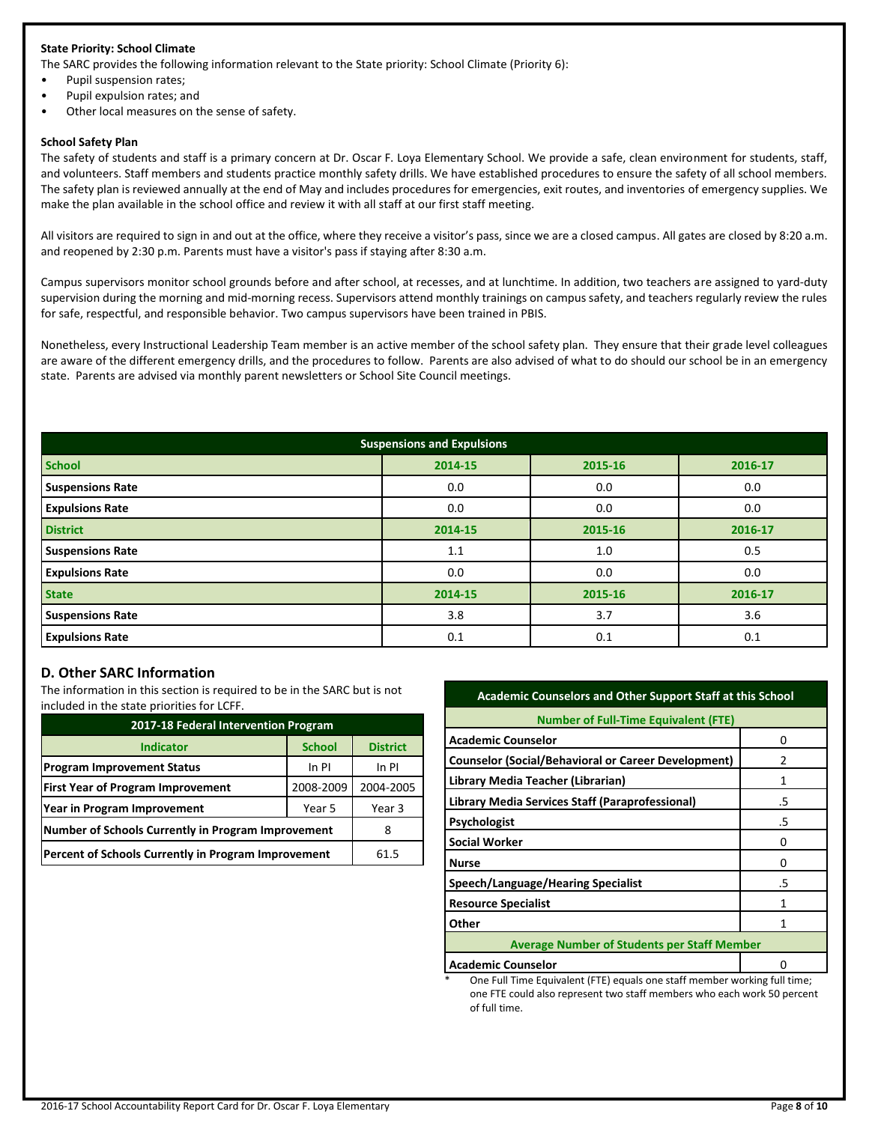### **State Priority: School Climate**

The SARC provides the following information relevant to the State priority: School Climate (Priority 6):

- Pupil suspension rates;
- Pupil expulsion rates; and
- Other local measures on the sense of safety.

#### **School Safety Plan**

The safety of students and staff is a primary concern at Dr. Oscar F. Loya Elementary School. We provide a safe, clean environment for students, staff, and volunteers. Staff members and students practice monthly safety drills. We have established procedures to ensure the safety of all school members. The safety plan is reviewed annually at the end of May and includes procedures for emergencies, exit routes, and inventories of emergency supplies. We make the plan available in the school office and review it with all staff at our first staff meeting.

All visitors are required to sign in and out at the office, where they receive a visitor's pass, since we are a closed campus. All gates are closed by 8:20 a.m. and reopened by 2:30 p.m. Parents must have a visitor's pass if staying after 8:30 a.m.

Campus supervisors monitor school grounds before and after school, at recesses, and at lunchtime. In addition, two teachers are assigned to yard-duty supervision during the morning and mid-morning recess. Supervisors attend monthly trainings on campus safety, and teachers regularly review the rules for safe, respectful, and responsible behavior. Two campus supervisors have been trained in PBIS.

Nonetheless, every Instructional Leadership Team member is an active member of the school safety plan. They ensure that their grade level colleagues are aware of the different emergency drills, and the procedures to follow. Parents are also advised of what to do should our school be in an emergency state. Parents are advised via monthly parent newsletters or School Site Council meetings.

| <b>Suspensions and Expulsions</b> |         |         |         |  |  |  |
|-----------------------------------|---------|---------|---------|--|--|--|
| <b>School</b>                     | 2014-15 | 2015-16 | 2016-17 |  |  |  |
| <b>Suspensions Rate</b>           | 0.0     | 0.0     | 0.0     |  |  |  |
| <b>Expulsions Rate</b>            | 0.0     | 0.0     | 0.0     |  |  |  |
| <b>District</b>                   | 2014-15 | 2015-16 | 2016-17 |  |  |  |
| <b>Suspensions Rate</b>           | 1.1     | 1.0     | 0.5     |  |  |  |
| <b>Expulsions Rate</b>            | 0.0     | 0.0     | 0.0     |  |  |  |
| <b>State</b>                      | 2014-15 | 2015-16 | 2016-17 |  |  |  |
| <b>Suspensions Rate</b>           | 3.8     | 3.7     | 3.6     |  |  |  |
| <b>Expulsions Rate</b>            | 0.1     | 0.1     | 0.1     |  |  |  |

### **D. Other SARC Information**

The information in this section is required to be in the SARC but is not included in the state priorities for LCFF.

| 2017-18 Federal Intervention Program                |               |                 |  |  |
|-----------------------------------------------------|---------------|-----------------|--|--|
| <b>Indicator</b>                                    | <b>School</b> | <b>District</b> |  |  |
| <b>Program Improvement Status</b>                   | In PI         | In PI           |  |  |
| <b>First Year of Program Improvement</b>            | 2008-2009     | 2004-2005       |  |  |
| Year in Program Improvement                         | Year 3        |                 |  |  |
| Number of Schools Currently in Program Improvement  | 8             |                 |  |  |
| Percent of Schools Currently in Program Improvement | 61.5          |                 |  |  |

| <b>Academic Counselors and Other Support Staff at this School</b> |    |  |  |  |
|-------------------------------------------------------------------|----|--|--|--|
| <b>Number of Full-Time Equivalent (FTE)</b>                       |    |  |  |  |
| <b>Academic Counselor</b>                                         | n  |  |  |  |
| <b>Counselor (Social/Behavioral or Career Development)</b>        | 2  |  |  |  |
| Library Media Teacher (Librarian)                                 | 1  |  |  |  |
| Library Media Services Staff (Paraprofessional)                   | .5 |  |  |  |
| <b>Psychologist</b>                                               | .5 |  |  |  |
| <b>Social Worker</b>                                              | Ω  |  |  |  |
| <b>Nurse</b>                                                      | Ω  |  |  |  |
| Speech/Language/Hearing Specialist                                | .5 |  |  |  |
| <b>Resource Specialist</b>                                        | 1  |  |  |  |
| Other                                                             | 1  |  |  |  |
| <b>Average Number of Students per Staff Member</b>                |    |  |  |  |
| <b>Academic Counselor</b>                                         |    |  |  |  |

One Full Time Equivalent (FTE) equals one staff member working full time; one FTE could also represent two staff members who each work 50 percent of full time.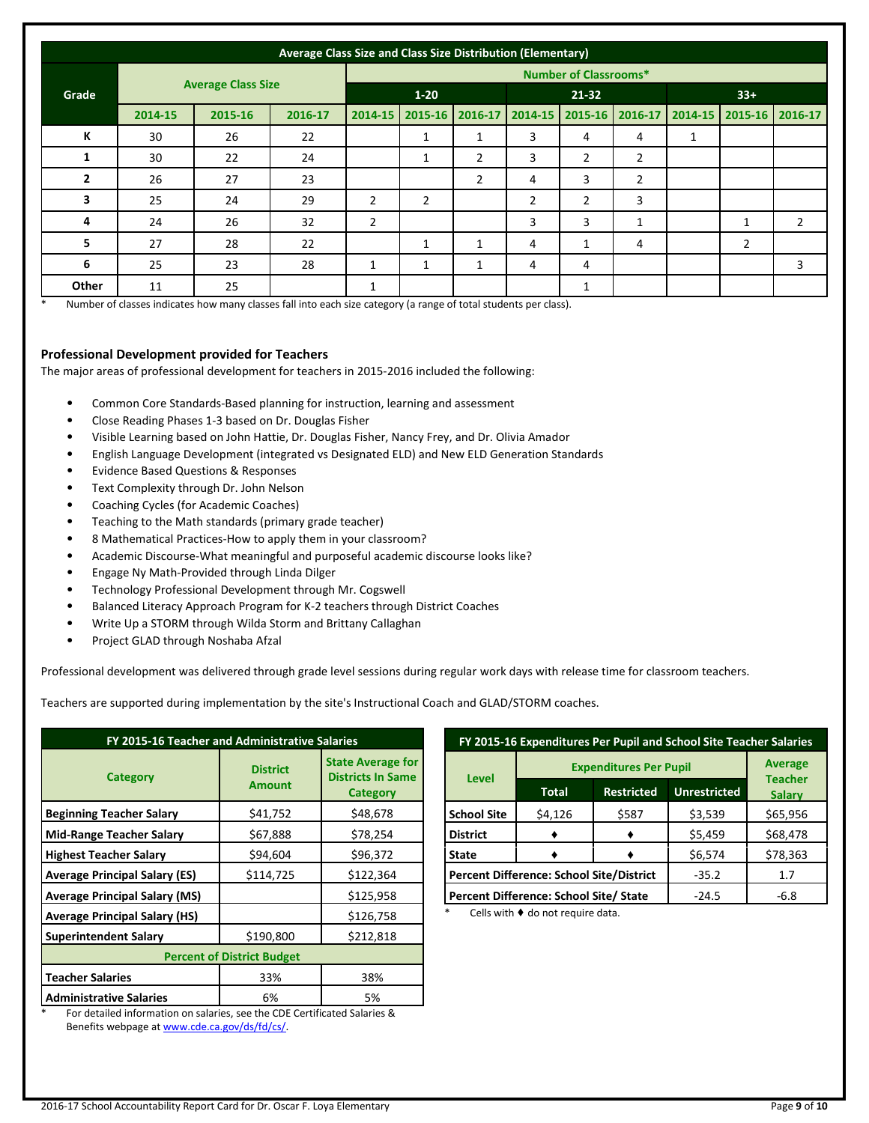| Average Class Size and Class Size Distribution (Elementary) |                              |                           |         |                |                |                |                |                |                         |       |                        |                |
|-------------------------------------------------------------|------------------------------|---------------------------|---------|----------------|----------------|----------------|----------------|----------------|-------------------------|-------|------------------------|----------------|
|                                                             | <b>Number of Classrooms*</b> |                           |         |                |                |                |                |                |                         |       |                        |                |
| Grade                                                       |                              | <b>Average Class Size</b> |         | $1 - 20$       |                |                | $21 - 32$      |                |                         | $33+$ |                        |                |
|                                                             | 2014-15                      | 2015-16                   | 2016-17 | 2014-15        | $2015 - 16$    | 2016-17        | 2014-15        |                | 2015-16 2016-17 2014-15 |       | $\mid$ 2015-16 2016-17 |                |
| К                                                           | 30                           | 26                        | 22      |                | 1              | 1              | 3              | 4              | 4                       | 1     |                        |                |
| 1                                                           | 30                           | 22                        | 24      |                | $\mathbf{1}$   | 2              | 3              | $\overline{2}$ | $\overline{2}$          |       |                        |                |
| $\overline{2}$                                              | 26                           | 27                        | 23      |                |                | $\overline{2}$ | 4              | 3              | $\overline{2}$          |       |                        |                |
| 3                                                           | 25                           | 24                        | 29      | $\overline{2}$ | $\overline{2}$ |                | $\overline{2}$ | $\overline{2}$ | 3                       |       |                        |                |
| 4                                                           | 24                           | 26                        | 32      | $\overline{2}$ |                |                | 3              | 3              | 1                       |       | 1                      | $\overline{2}$ |
| 5                                                           | 27                           | 28                        | 22      |                | 1              | 1              | 4              | 1              | 4                       |       | $\overline{2}$         |                |
| 6                                                           | 25                           | 23                        | 28      | 1              | $\mathbf{1}$   |                | 4              | 4              |                         |       |                        | 3              |
| Other                                                       | 11                           | 25                        |         | 1              |                |                |                | 1              |                         |       |                        |                |

\* Number of classes indicates how many classes fall into each size category (a range of total students per class).

### **Professional Development provided for Teachers**

The major areas of professional development for teachers in 2015-2016 included the following:

- Common Core Standards-Based planning for instruction, learning and assessment
- Close Reading Phases 1-3 based on Dr. Douglas Fisher
- Visible Learning based on John Hattie, Dr. Douglas Fisher, Nancy Frey, and Dr. Olivia Amador
- English Language Development (integrated vs Designated ELD) and New ELD Generation Standards
- Evidence Based Questions & Responses
- Text Complexity through Dr. John Nelson
- Coaching Cycles (for Academic Coaches)
- Teaching to the Math standards (primary grade teacher)
- 8 Mathematical Practices-How to apply them in your classroom?
- Academic Discourse-What meaningful and purposeful academic discourse looks like?
- Engage Ny Math-Provided through Linda Dilger
- Technology Professional Development through Mr. Cogswell
- Balanced Literacy Approach Program for K-2 teachers through District Coaches
- Write Up a STORM through Wilda Storm and Brittany Callaghan
- Project GLAD through Noshaba Afzal

Professional development was delivered through grade level sessions during regular work days with release time for classroom teachers.

Teachers are supported during implementation by the site's Instructional Coach and GLAD/STORM coaches.

| FY 2015-16 Teacher and Administrative Salaries                                                                    |                                  |                                                                         |  |  |  |
|-------------------------------------------------------------------------------------------------------------------|----------------------------------|-------------------------------------------------------------------------|--|--|--|
| <b>Category</b>                                                                                                   | <b>District</b><br><b>Amount</b> | <b>State Average for</b><br><b>Districts In Same</b><br><b>Category</b> |  |  |  |
| <b>Beginning Teacher Salary</b>                                                                                   | \$41,752                         | \$48,678                                                                |  |  |  |
| <b>Mid-Range Teacher Salary</b>                                                                                   | \$67,888                         | \$78,254                                                                |  |  |  |
| <b>Highest Teacher Salary</b>                                                                                     | \$94,604                         | \$96,372                                                                |  |  |  |
| <b>Average Principal Salary (ES)</b>                                                                              | \$114,725                        | \$122,364                                                               |  |  |  |
| <b>Average Principal Salary (MS)</b>                                                                              |                                  | \$125,958                                                               |  |  |  |
| <b>Average Principal Salary (HS)</b>                                                                              |                                  | \$126,758                                                               |  |  |  |
| <b>Superintendent Salary</b>                                                                                      | \$190,800                        | \$212,818                                                               |  |  |  |
| <b>Percent of District Budget</b>                                                                                 |                                  |                                                                         |  |  |  |
| <b>Teacher Salaries</b>                                                                                           | 33%                              | 38%                                                                     |  |  |  |
| <b>Administrative Salaries</b><br>. Pau des die die Generalism en extenier, ers ster CDP Centificated Calenter 0, | 6%                               | 5%                                                                      |  |  |  |

For detailed information on salaries, see the CDE Certificated Salaries & Benefits webpage a[t www.cde.ca.gov/ds/fd/cs/.](http://www.cde.ca.gov/ds/fd/cs/)

| FY 2015-16 Expenditures Per Pupil and School Site Teacher Salaries |                |                   |                     |                                 |  |  |
|--------------------------------------------------------------------|----------------|-------------------|---------------------|---------------------------------|--|--|
|                                                                    | <b>Average</b> |                   |                     |                                 |  |  |
| <b>Level</b>                                                       | <b>Total</b>   | <b>Restricted</b> | <b>Unrestricted</b> | <b>Teacher</b><br><b>Salary</b> |  |  |
| <b>School Site</b>                                                 | \$4,126        | \$587             | \$3,539             | \$65,956                        |  |  |
| <b>District</b>                                                    |                |                   | \$5,459             | \$68,478                        |  |  |
| State                                                              |                |                   | \$6,574             | \$78,363                        |  |  |
| <b>Percent Difference: School Site/District</b>                    | $-35.2$        | 1.7               |                     |                                 |  |  |
| Percent Difference: School Site/ State                             | $-6.8$         |                   |                     |                                 |  |  |

Cells with  $\blacklozenge$  do not require data.